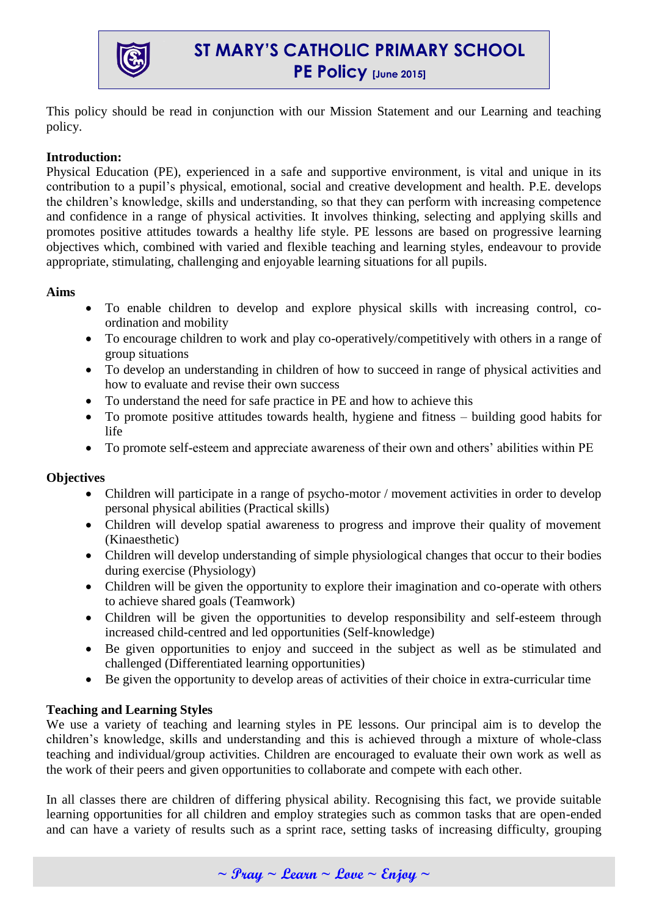

# **ST MARY'S CATHOLIC PRIMARY SCHOOL PE Policy [June 2015]**

This policy should be read in conjunction with our Mission Statement and our Learning and teaching policy.

# **Introduction:**

Physical Education (PE), experienced in a safe and supportive environment, is vital and unique in its contribution to a pupil's physical, emotional, social and creative development and health. P.E. develops the children's knowledge, skills and understanding, so that they can perform with increasing competence and confidence in a range of physical activities. It involves thinking, selecting and applying skills and promotes positive attitudes towards a healthy life style. PE lessons are based on progressive learning objectives which, combined with varied and flexible teaching and learning styles, endeavour to provide appropriate, stimulating, challenging and enjoyable learning situations for all pupils.

## **Aims**

- To enable children to develop and explore physical skills with increasing control, coordination and mobility
- To encourage children to work and play co-operatively/competitively with others in a range of group situations
- To develop an understanding in children of how to succeed in range of physical activities and how to evaluate and revise their own success
- To understand the need for safe practice in PE and how to achieve this
- To promote positive attitudes towards health, hygiene and fitness building good habits for life
- To promote self-esteem and appreciate awareness of their own and others' abilities within PE

# **Objectives**

- Children will participate in a range of psycho-motor / movement activities in order to develop personal physical abilities (Practical skills)
- Children will develop spatial awareness to progress and improve their quality of movement (Kinaesthetic)
- Children will develop understanding of simple physiological changes that occur to their bodies during exercise (Physiology)
- Children will be given the opportunity to explore their imagination and co-operate with others to achieve shared goals (Teamwork)
- Children will be given the opportunities to develop responsibility and self-esteem through increased child-centred and led opportunities (Self-knowledge)
- Be given opportunities to enjoy and succeed in the subject as well as be stimulated and challenged (Differentiated learning opportunities)
- Be given the opportunity to develop areas of activities of their choice in extra-curricular time

# **Teaching and Learning Styles**

We use a variety of teaching and learning styles in PE lessons. Our principal aim is to develop the children's knowledge, skills and understanding and this is achieved through a mixture of whole-class teaching and individual/group activities. Children are encouraged to evaluate their own work as well as the work of their peers and given opportunities to collaborate and compete with each other.

In all classes there are children of differing physical ability. Recognising this fact, we provide suitable learning opportunities for all children and employ strategies such as common tasks that are open-ended and can have a variety of results such as a sprint race, setting tasks of increasing difficulty, grouping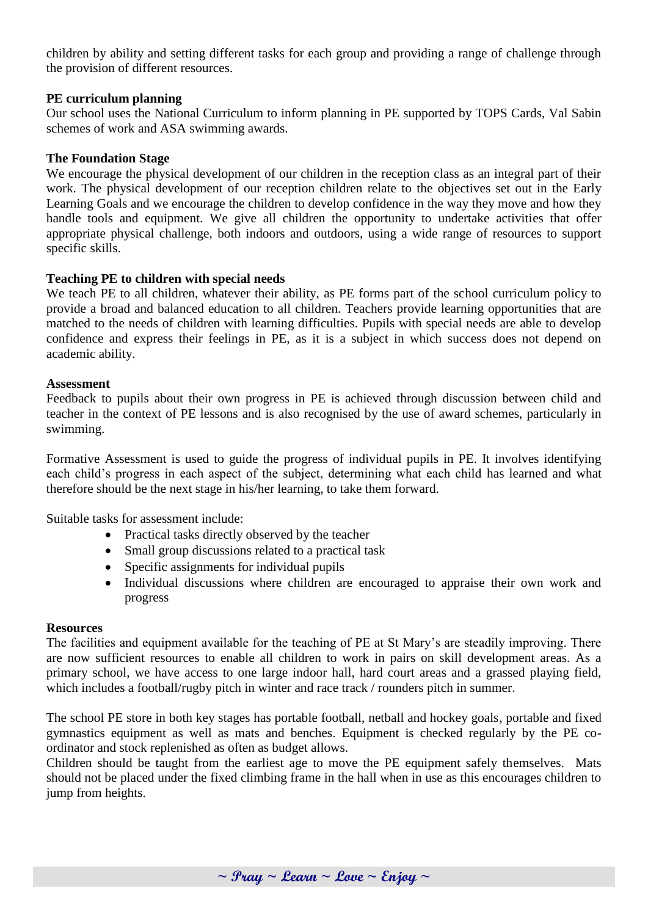children by ability and setting different tasks for each group and providing a range of challenge through the provision of different resources.

## **PE curriculum planning**

Our school uses the National Curriculum to inform planning in PE supported by TOPS Cards, Val Sabin schemes of work and ASA swimming awards.

## **The Foundation Stage**

We encourage the physical development of our children in the reception class as an integral part of their work. The physical development of our reception children relate to the objectives set out in the Early Learning Goals and we encourage the children to develop confidence in the way they move and how they handle tools and equipment. We give all children the opportunity to undertake activities that offer appropriate physical challenge, both indoors and outdoors, using a wide range of resources to support specific skills.

### **Teaching PE to children with special needs**

We teach PE to all children, whatever their ability, as PE forms part of the school curriculum policy to provide a broad and balanced education to all children. Teachers provide learning opportunities that are matched to the needs of children with learning difficulties. Pupils with special needs are able to develop confidence and express their feelings in PE, as it is a subject in which success does not depend on academic ability.

### **Assessment**

Feedback to pupils about their own progress in PE is achieved through discussion between child and teacher in the context of PE lessons and is also recognised by the use of award schemes, particularly in swimming.

Formative Assessment is used to guide the progress of individual pupils in PE. It involves identifying each child's progress in each aspect of the subject, determining what each child has learned and what therefore should be the next stage in his/her learning, to take them forward.

Suitable tasks for assessment include:

- Practical tasks directly observed by the teacher
- Small group discussions related to a practical task
- Specific assignments for individual pupils
- Individual discussions where children are encouraged to appraise their own work and progress

### **Resources**

The facilities and equipment available for the teaching of PE at St Mary's are steadily improving. There are now sufficient resources to enable all children to work in pairs on skill development areas. As a primary school, we have access to one large indoor hall, hard court areas and a grassed playing field, which includes a football/rugby pitch in winter and race track / rounders pitch in summer.

The school PE store in both key stages has portable football, netball and hockey goals, portable and fixed gymnastics equipment as well as mats and benches. Equipment is checked regularly by the PE coordinator and stock replenished as often as budget allows.

Children should be taught from the earliest age to move the PE equipment safely themselves. Mats should not be placed under the fixed climbing frame in the hall when in use as this encourages children to jump from heights.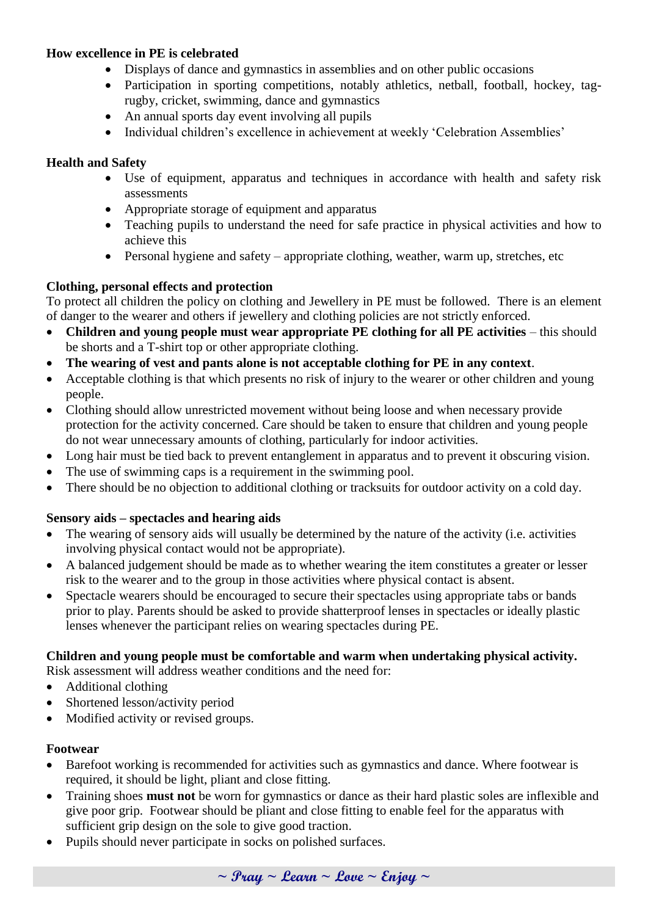# **How excellence in PE is celebrated**

- Displays of dance and gymnastics in assemblies and on other public occasions
- Participation in sporting competitions, notably athletics, netball, football, hockey, tagrugby, cricket, swimming, dance and gymnastics
- An annual sports day event involving all pupils
- Individual children's excellence in achievement at weekly 'Celebration Assemblies'

# **Health and Safety**

- Use of equipment, apparatus and techniques in accordance with health and safety risk assessments
- Appropriate storage of equipment and apparatus
- Teaching pupils to understand the need for safe practice in physical activities and how to achieve this
- Personal hygiene and safety appropriate clothing, weather, warm up, stretches, etc

# **Clothing, personal effects and protection**

To protect all children the policy on clothing and Jewellery in PE must be followed. There is an element of danger to the wearer and others if jewellery and clothing policies are not strictly enforced.

- Children and young people must wear appropriate PE clothing for all PE activities this should be shorts and a T-shirt top or other appropriate clothing.
- **The wearing of vest and pants alone is not acceptable clothing for PE in any context**.
- Acceptable clothing is that which presents no risk of injury to the wearer or other children and young people.
- Clothing should allow unrestricted movement without being loose and when necessary provide protection for the activity concerned. Care should be taken to ensure that children and young people do not wear unnecessary amounts of clothing, particularly for indoor activities.
- Long hair must be tied back to prevent entanglement in apparatus and to prevent it obscuring vision.
- The use of swimming caps is a requirement in the swimming pool.
- There should be no objection to additional clothing or tracksuits for outdoor activity on a cold day.

# **Sensory aids – spectacles and hearing aids**

- The wearing of sensory aids will usually be determined by the nature of the activity (i.e. activities involving physical contact would not be appropriate).
- A balanced judgement should be made as to whether wearing the item constitutes a greater or lesser risk to the wearer and to the group in those activities where physical contact is absent.
- Spectacle wearers should be encouraged to secure their spectacles using appropriate tabs or bands prior to play. Parents should be asked to provide shatterproof lenses in spectacles or ideally plastic lenses whenever the participant relies on wearing spectacles during PE.

# **Children and young people must be comfortable and warm when undertaking physical activity.**

Risk assessment will address weather conditions and the need for:

- Additional clothing
- Shortened lesson/activity period
- Modified activity or revised groups.

# **Footwear**

- Barefoot working is recommended for activities such as gymnastics and dance. Where footwear is required, it should be light, pliant and close fitting.
- Training shoes **must not** be worn for gymnastics or dance as their hard plastic soles are inflexible and give poor grip. Footwear should be pliant and close fitting to enable feel for the apparatus with sufficient grip design on the sole to give good traction.
- Pupils should never participate in socks on polished surfaces.

**~ Pray ~ Learn ~ Love ~ Enjoy ~**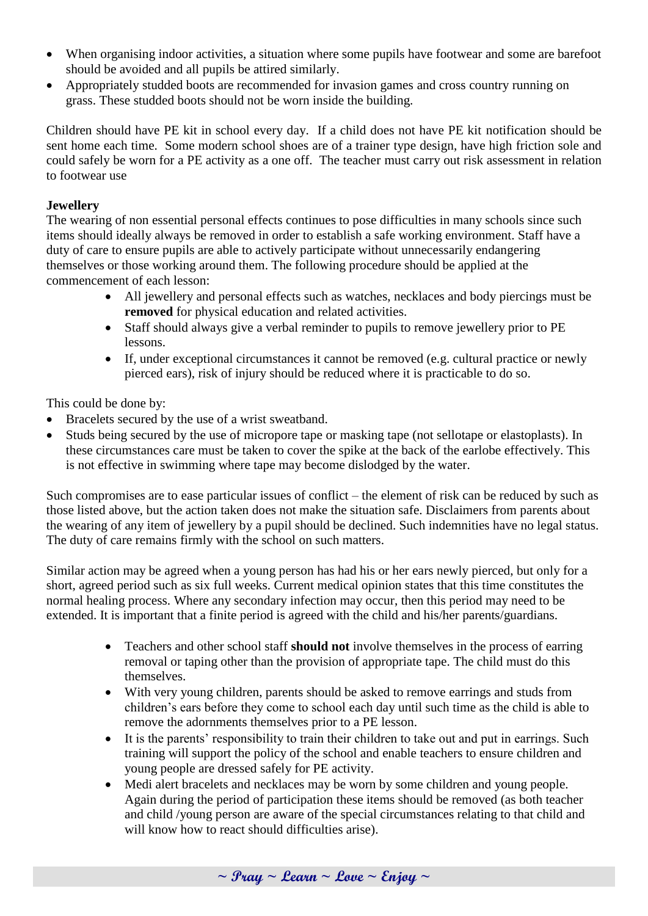- When organising indoor activities, a situation where some pupils have footwear and some are barefoot should be avoided and all pupils be attired similarly.
- Appropriately studded boots are recommended for invasion games and cross country running on grass. These studded boots should not be worn inside the building.

Children should have PE kit in school every day. If a child does not have PE kit notification should be sent home each time. Some modern school shoes are of a trainer type design, have high friction sole and could safely be worn for a PE activity as a one off. The teacher must carry out risk assessment in relation to footwear use

# **Jewellery**

The wearing of non essential personal effects continues to pose difficulties in many schools since such items should ideally always be removed in order to establish a safe working environment. Staff have a duty of care to ensure pupils are able to actively participate without unnecessarily endangering themselves or those working around them. The following procedure should be applied at the commencement of each lesson:

- All jewellery and personal effects such as watches, necklaces and body piercings must be **removed** for physical education and related activities.
- Staff should always give a verbal reminder to pupils to remove jewellery prior to PE lessons.
- If, under exceptional circumstances it cannot be removed (e.g. cultural practice or newly pierced ears), risk of injury should be reduced where it is practicable to do so.

This could be done by:

- Bracelets secured by the use of a wrist sweatband.
- Studs being secured by the use of micropore tape or masking tape (not sellotape or elastoplasts). In these circumstances care must be taken to cover the spike at the back of the earlobe effectively. This is not effective in swimming where tape may become dislodged by the water.

Such compromises are to ease particular issues of conflict – the element of risk can be reduced by such as those listed above, but the action taken does not make the situation safe. Disclaimers from parents about the wearing of any item of jewellery by a pupil should be declined. Such indemnities have no legal status. The duty of care remains firmly with the school on such matters.

Similar action may be agreed when a young person has had his or her ears newly pierced, but only for a short, agreed period such as six full weeks. Current medical opinion states that this time constitutes the normal healing process. Where any secondary infection may occur, then this period may need to be extended. It is important that a finite period is agreed with the child and his/her parents/guardians.

- Teachers and other school staff **should not** involve themselves in the process of earring removal or taping other than the provision of appropriate tape. The child must do this themselves.
- With very young children, parents should be asked to remove earrings and studs from children's ears before they come to school each day until such time as the child is able to remove the adornments themselves prior to a PE lesson.
- It is the parents' responsibility to train their children to take out and put in earrings. Such training will support the policy of the school and enable teachers to ensure children and young people are dressed safely for PE activity.
- Medi alert bracelets and necklaces may be worn by some children and young people. Again during the period of participation these items should be removed (as both teacher and child /young person are aware of the special circumstances relating to that child and will know how to react should difficulties arise).